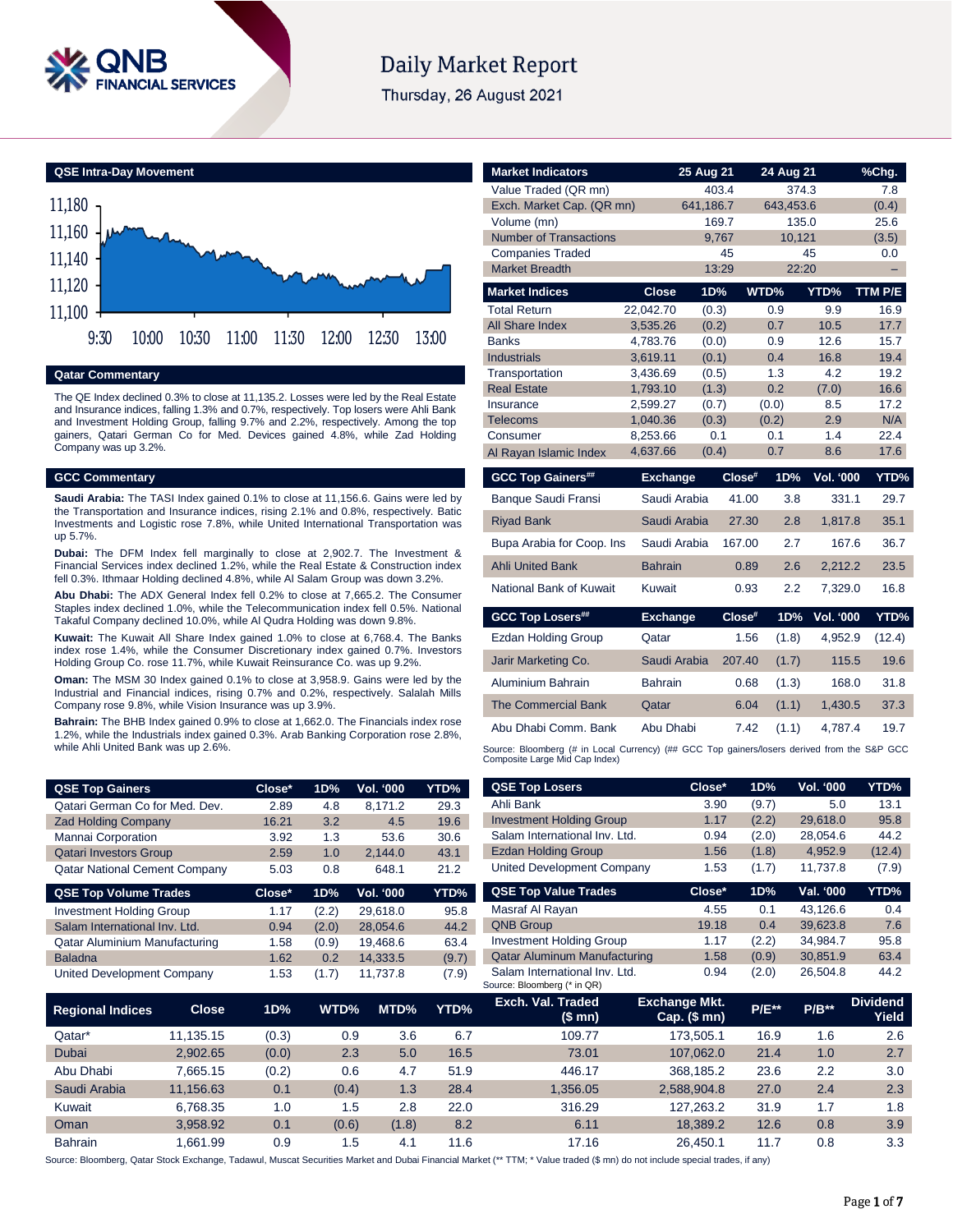

# **Daily Market Report**

Thursday, 26 August 2021



#### **Qatar Commentary**

The QE Index declined 0.3% to close at 11,135.2. Losses were led by the Real Estate and Insurance indices, falling 1.3% and 0.7%, respectively. Top losers were Ahli Bank and Investment Holding Group, falling 9.7% and 2.2%, respectively. Among the top gainers, Qatari German Co for Med. Devices gained 4.8%, while Zad Holding Company was up 3.2%.

#### **GCC Commentary**

**Saudi Arabia:** The TASI Index gained 0.1% to close at 11,156.6. Gains were led by the Transportation and Insurance indices, rising 2.1% and 0.8%, respectively. Batic Investments and Logistic rose 7.8%, while United International Transportation was up 5.7%.

**Dubai:** The DFM Index fell marginally to close at 2,902.7. The Investment & Financial Services index declined 1.2%, while the Real Estate & Construction index fell 0.3%. Ithmaar Holding declined 4.8%, while Al Salam Group was down 3.2%.

**Abu Dhabi:** The ADX General Index fell 0.2% to close at 7,665.2. The Consumer Staples index declined 1.0%, while the Telecommunication index fell 0.5%. National Takaful Company declined 10.0%, while Al Qudra Holding was down 9.8%.

**Kuwait:** The Kuwait All Share Index gained 1.0% to close at 6,768.4. The Banks index rose 1.4%, while the Consumer Discretionary index gained 0.7%. Investors Holding Group Co. rose 11.7%, while Kuwait Reinsurance Co. was up 9.2%.

**Oman:** The MSM 30 Index gained 0.1% to close at 3,958.9. Gains were led by the Industrial and Financial indices, rising 0.7% and 0.2%, respectively. Salalah Mills Company rose 9.8%, while Vision Insurance was up 3.9%.

**Bahrain:** The BHB Index gained 0.9% to close at 1,662.0. The Financials index rose 1.2%, while the Industrials index gained 0.3%. Arab Banking Corporation rose 2.8%, while Ahli United Bank was up 2.6%.

| <b>QSE Top Gainers</b>               | Close* | 1D% | <b>Vol. '000</b> | YTD% |
|--------------------------------------|--------|-----|------------------|------|
| Qatari German Co for Med. Dev.       | 2.89   | 4.8 | 8.171.2          | 29.3 |
| <b>Zad Holding Company</b>           | 16.21  | 3.2 | 4.5              | 19.6 |
| Mannai Corporation                   | 3.92   | 1.3 | 53.6             | 30.6 |
| <b>Qatari Investors Group</b>        | 2.59   | 1.0 | 2.144.0          | 43.1 |
| <b>Qatar National Cement Company</b> | 5.03   | 0.8 | 648.1            | 21.2 |

| <b>QSE Top Volume Trades</b>    | Close* | 1D%   | <b>Vol. '000</b> | YTD%  |
|---------------------------------|--------|-------|------------------|-------|
| <b>Investment Holding Group</b> | 1.17   | (2.2) | 29.618.0         | 95.8  |
| Salam International Inv. Ltd.   | 0.94   | (2.0) | 28.054.6         | 44.2  |
| Qatar Aluminium Manufacturing   | 1.58   | (0.9) | 19.468.6         | 63.4  |
| <b>Baladna</b>                  | 1.62   | 0.2   | 14,333.5         | (9.7) |
| United Development Company      | 1.53   | (1.7) | 11.737.8         | (7.9) |

| <b>Market Indicators</b>                                                                                                      |                      | 25 Aug 21      |           | 24 Aug 21  |                  | %Chg.        |  |  |  |
|-------------------------------------------------------------------------------------------------------------------------------|----------------------|----------------|-----------|------------|------------------|--------------|--|--|--|
| Value Traded (QR mn)                                                                                                          |                      |                | 403.4     | 374.3      |                  | 7.8          |  |  |  |
| Exch. Market Cap. (QR mn)                                                                                                     |                      | 641,186.7      |           | 643,453.6  |                  | (0.4)        |  |  |  |
| Volume (mn)                                                                                                                   |                      |                | 169.7     | 135.0      |                  | 25.6         |  |  |  |
| <b>Number of Transactions</b>                                                                                                 |                      |                | 9.767     | 10,121     |                  | (3.5)        |  |  |  |
| <b>Companies Traded</b>                                                                                                       |                      |                | 45        |            | 45               | 0.0          |  |  |  |
| <b>Market Breadth</b>                                                                                                         |                      |                | 13:29     | 22:20      |                  |              |  |  |  |
| <b>Market Indices</b>                                                                                                         | Close                | 1D%            |           | WTD%       | YTD%             | TTM P/E      |  |  |  |
| <b>Total Return</b>                                                                                                           | 22,042.70            | (0.3)          |           | 0.9        | 9.9              | 16.9         |  |  |  |
| All Share Index                                                                                                               | 3,535.26             | (0.2)          |           | 0.7        | 10.5             | 17.7         |  |  |  |
| <b>Banks</b>                                                                                                                  | 4,783.76             | (0.0)          |           | 0.9        | 12.6             | 15.7         |  |  |  |
| Industrials                                                                                                                   | 3.619.11             | (0.1)          |           | 0.4        | 16.8             | 19.4         |  |  |  |
| Transportation                                                                                                                | 3,436.69             | (0.5)          |           | 1.3<br>0.2 | 4.2              | 19.2         |  |  |  |
| <b>Real Estate</b><br>Insurance                                                                                               | 1,793.10<br>2,599.27 | (1.3)<br>(0.7) |           | (0.0)      | (7.0)<br>8.5     | 16.6<br>17.2 |  |  |  |
| Telecoms                                                                                                                      | 1,040.36             | (0.3)          |           | (0.2)      | 2.9              | N/A          |  |  |  |
| Consumer                                                                                                                      | 8,253.66             |                | 0.1       | 0.1        | 1.4              | 22.4         |  |  |  |
| Al Rayan Islamic Index                                                                                                        | 4,637.66             | (0.4)          |           | 0.7        | 8.6              | 17.6         |  |  |  |
| <b>GCC Top Gainers##</b>                                                                                                      | <b>Exchange</b>      |                | Close#    | 1D%        | Vol. '000        | YTD%         |  |  |  |
| <b>Bangue Saudi Fransi</b>                                                                                                    | Saudi Arabia         |                | 41.00     | 3.8        | 331.1            | 29.7         |  |  |  |
| <b>Riyad Bank</b>                                                                                                             | Saudi Arabia         |                | 27.30     | 2.8        | 1,817.8          | 35.1         |  |  |  |
| Bupa Arabia for Coop. Ins                                                                                                     | Saudi Arabia         |                | 167.00    | 2.7        | 167.6            | 36.7         |  |  |  |
| <b>Ahli United Bank</b>                                                                                                       | <b>Bahrain</b>       |                | 0.89      | 2.6        | 2.212.2          | 23.5         |  |  |  |
| National Bank of Kuwait                                                                                                       | Kuwait               |                | 0.93      | 2.2        | 7,329.0          | 16.8         |  |  |  |
| <b>GCC Top Losers##</b>                                                                                                       | <b>Exchange</b>      |                | $Close^*$ | 1D%        | <b>Vol. '000</b> | YTD%         |  |  |  |
| <b>Ezdan Holding Group</b>                                                                                                    | Qatar                |                | 1.56      | (1.8)      | 4.952.9          | (12.4)       |  |  |  |
| Jarir Marketing Co.                                                                                                           | Saudi Arabia         |                | 207.40    | (1.7)      | 115.5            | 19.6         |  |  |  |
| Aluminium Bahrain                                                                                                             | <b>Bahrain</b>       |                | 0.68      | (1.3)      | 168.0            | 31.8         |  |  |  |
| <b>The Commercial Bank</b>                                                                                                    | Qatar                |                | 6.04      | (1.1)      | 1,430.5          | 37.3         |  |  |  |
| Abu Dhabi Comm, Bank                                                                                                          | Abu Dhabi            |                | 7.42      | (1.1)      | 4.787.4          | 19.7         |  |  |  |
| Source: Bloomberg (# in Local Currency) (## GCC Top gainers/losers derived from the S&P GCC<br>Composite Large Mid Cap Index) |                      |                |           |            |                  |              |  |  |  |
| <b>QSE Top Losers</b>                                                                                                         |                      | Close*         |           | 1D%        | Vol. '000        | YTD%         |  |  |  |

| <b>QSE Top Gainers</b>               |              | Close* | 1D%   | Vol. '000 | YTD%         | <b>QSE Top Losers</b>                                        | Close*                               | 1D%          | Vol. '000 | YTD%                     |
|--------------------------------------|--------------|--------|-------|-----------|--------------|--------------------------------------------------------------|--------------------------------------|--------------|-----------|--------------------------|
| Qatari German Co for Med. Dev.       |              | 2.89   | 4.8   | 8,171.2   | 29.3         | Ahli Bank                                                    | 3.90                                 | (9.7)        |           | 13.1                     |
| <b>Zad Holding Company</b>           |              | 16.21  | 3.2   | 4.5       | 19.6         | <b>Investment Holding Group</b>                              | 1.17                                 | (2.2)        | 29,618.0  | 95.8                     |
| Mannai Corporation                   |              | 3.92   | 1.3   | 53.6      | 30.6         | Salam International Inv. Ltd.                                | 0.94                                 | (2.0)        | 28,054.6  | 44.2                     |
| <b>Qatari Investors Group</b>        |              | 2.59   | 1.0   | 2,144.0   | 43.1         | <b>Ezdan Holding Group</b>                                   | 1.56                                 | (1.8)        | 4,952.9   | (12.4)                   |
| <b>Qatar National Cement Company</b> |              | 5.03   | 0.8   | 648.1     | 21.2         | United Development Company                                   | 1.53                                 | (1.7)        | 11,737.8  | (7.9)                    |
| <b>QSE Top Volume Trades</b>         |              | Close* | 1D%   | Vol. '000 | YTD%         | <b>QSE Top Value Trades</b>                                  | Close*                               | 1D%          | Val. '000 | YTD%                     |
| <b>Investment Holding Group</b>      |              | 1.17   | (2.2) | 29,618.0  | 95.8         | Masraf Al Rayan                                              | 4.55                                 | 0.1          | 43,126.6  | 0.4                      |
| Salam International Inv. Ltd.        |              | 0.94   | (2.0) | 28,054.6  | 44.2         | <b>QNB Group</b>                                             | 19.18                                | 0.4          | 39,623.8  | 7.6                      |
| Qatar Aluminium Manufacturing        |              | 1.58   | (0.9) | 19,468.6  | 63.4         | <b>Investment Holding Group</b>                              | 1.17                                 | (2.2)        | 34,984.7  | 95.8                     |
| <b>Baladna</b>                       |              | 1.62   | 0.2   | 14,333.5  | (9.7)        | <b>Qatar Aluminum Manufacturing</b>                          | 1.58                                 | (0.9)        | 30,851.9  | 63.4                     |
| United Development Company           |              | 1.53   | (1.7) | 11,737.8  | (7.9)        | Salam International Inv. Ltd.<br>Source: Bloomberg (* in QR) | 0.94                                 | (2.0)        | 26,504.8  | 44.2                     |
| <b>Regional Indices</b>              | <b>Close</b> | 1D%    | WTD%  | MTD%      | YTD%         | Exch. Val. Traded<br>(\$ mn)                                 | <b>Exchange Mkt.</b><br>Cap. $($mn)$ | <b>P/E**</b> | $P/B**$   | <b>Dividend</b><br>Yield |
| Qatar*                               | 11,135.15    | (0.3)  |       | 0.9       | 3.6<br>6.7   | 109.77                                                       | 173,505.1                            | 16.9         | 1.6       | 2.6                      |
| Dubai                                | 2,902.65     | (0.0)  |       | 2.3       | 5.0<br>16.5  | 73.01                                                        | 107,062.0                            | 21.4         | 1.0       | 2.7                      |
| Abu Dhabi                            | 7,665.15     | (0.2)  |       | 0.6       | 51.9<br>4.7  | 446.17                                                       | 368,185.2                            | 23.6         | 2.2       | 3.0                      |
| Saudi Arabia                         | 11,156.63    | 0.1    | (0.4) |           | 1.3<br>28.4  | 1,356.05                                                     | 2,588,904.8                          | 27.0         | 2.4       | 2.3                      |
| Kuwait                               | 6,768.35     | 1.0    |       | 1.5       | 22.0<br>2.8  | 316.29                                                       | 127,263.2                            | 31.9         | 1.7       | 1.8                      |
| Oman                                 | 3,958.92     | 0.1    | (0.6) |           | 8.2<br>(1.8) | 6.11                                                         | 18,389.2                             | 12.6         | 0.8       | 3.9                      |

Source: Bloomberg, Qatar Stock Exchange, Tadawul, Muscat Securities Market and Dubai Financial Market (\*\* TTM; \* Value traded (\$ mn) do not include special trades, if any)

Bahrain 1,661.99 0.9 1.5 4.1 11.6 17.16 26,450.1 11.7 0.8 3.3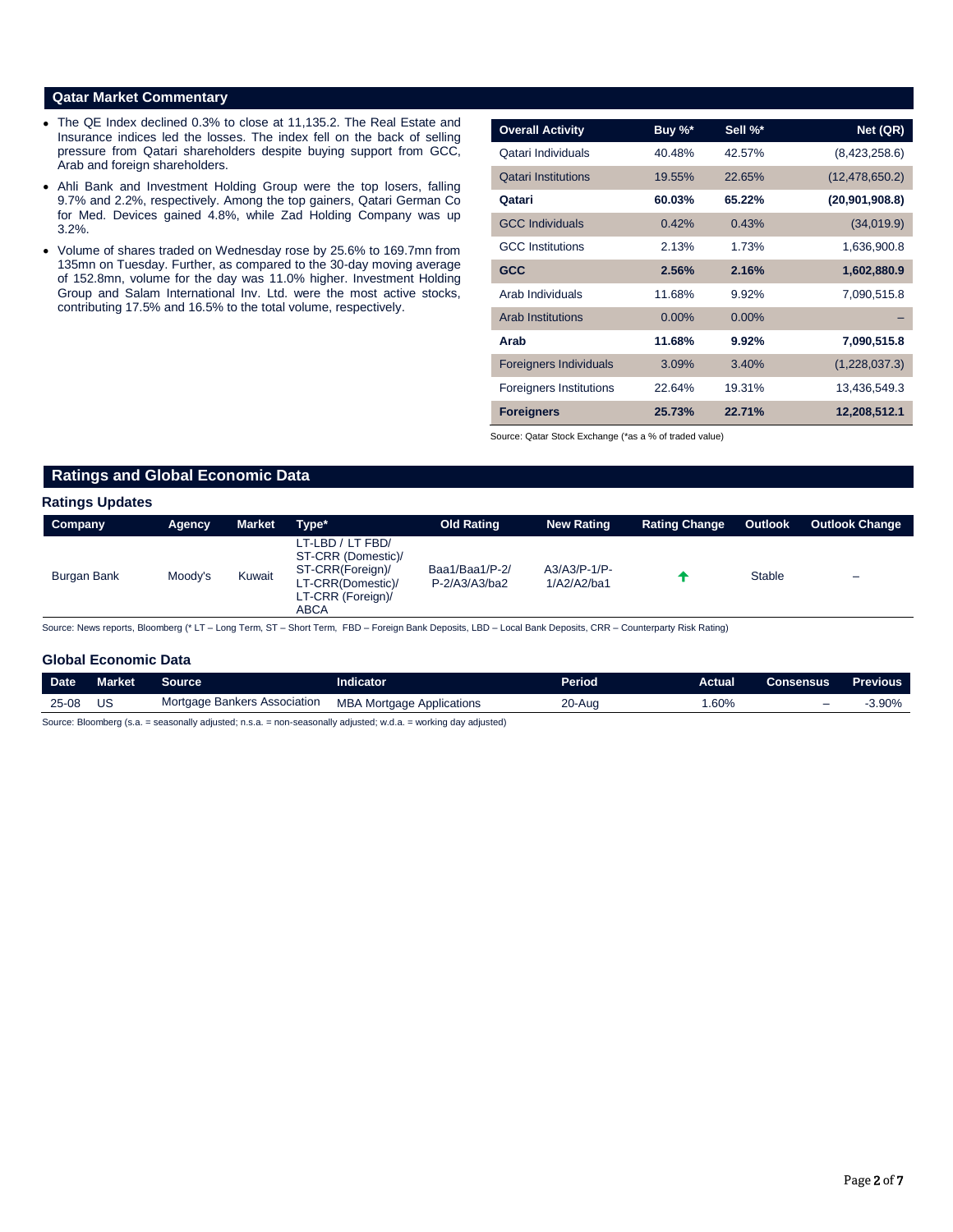### **Qatar Market Commentary**

- The QE Index declined 0.3% to close at 11,135.2. The Real Estate and Insurance indices led the losses. The index fell on the back of selling pressure from Qatari shareholders despite buying support from GCC, Arab and foreign shareholders.
- Ahli Bank and Investment Holding Group were the top losers, falling 9.7% and 2.2%, respectively. Among the top gainers, Qatari German Co for Med. Devices gained 4.8%, while Zad Holding Company was up 3.2%.
- Volume of shares traded on Wednesday rose by 25.6% to 169.7mn from 135mn on Tuesday. Further, as compared to the 30-day moving average of 152.8mn, volume for the day was 11.0% higher. Investment Holding Group and Salam International Inv. Ltd. were the most active stocks, contributing 17.5% and 16.5% to the total volume, respectively.

| <b>Overall Activity</b>        | Buy %*   | Sell %*  | Net (QR)         |
|--------------------------------|----------|----------|------------------|
| Qatari Individuals             | 40.48%   | 42.57%   | (8,423,258.6)    |
| <b>Qatari Institutions</b>     | 19.55%   | 22.65%   | (12, 478, 650.2) |
| Qatari                         | 60.03%   | 65.22%   | (20,901,908.8)   |
| <b>GCC Individuals</b>         | 0.42%    | 0.43%    | (34,019.9)       |
| <b>GCC</b> Institutions        | 2.13%    | 1.73%    | 1,636,900.8      |
| <b>GCC</b>                     | 2.56%    | 2.16%    | 1,602,880.9      |
| Arab Individuals               | 11.68%   | 9.92%    | 7,090,515.8      |
| <b>Arab Institutions</b>       | $0.00\%$ | $0.00\%$ |                  |
| Arab                           | 11.68%   | 9.92%    | 7,090,515.8      |
| <b>Foreigners Individuals</b>  | 3.09%    | 3.40%    | (1,228,037.3)    |
| <b>Foreigners Institutions</b> | 22.64%   | 19.31%   | 13,436,549.3     |
| <b>Foreigners</b>              | 25.73%   | 22.71%   | 12,208,512.1     |

Source: Qatar Stock Exchange (\*as a % of traded value)

## **Ratings and Global Economic Data**

### **Ratings Updates**

| Company     | Agency  | <b>Market</b> | Type*                                                                                                               | <b>Old Rating</b>               | <b>New Rating</b>           | <b>Rating Change</b> | <b>Outlook</b> | <b>Outlook Change</b>          |
|-------------|---------|---------------|---------------------------------------------------------------------------------------------------------------------|---------------------------------|-----------------------------|----------------------|----------------|--------------------------------|
| Burgan Bank | Moody's | Kuwait        | LT-LBD / LT FBD/<br>ST-CRR (Domestic)/<br>ST-CRR(Foreign)/<br>LT-CRR(Domestic)/<br>LT-CRR (Foreign)/<br><b>ABCA</b> | Baa1/Baa1/P-2/<br>P-2/A3/A3/ba2 | A3/A3/P-1/P-<br>1/A2/A2/ba1 |                      | <b>Stable</b>  | $\qquad \qquad \longleftarrow$ |

Source: News reports, Bloomberg (\* LT – Long Term, ST – Short Term, FBD – Foreign Bank Deposits, LBD – Local Bank Deposits, CRR – Counterparty Risk Rating)

#### **Global Economic Data**

| <b>Date</b> | Market | Source                       | Indicator                             | Period | Actual | Consensus | <b>Previous</b> |
|-------------|--------|------------------------------|---------------------------------------|--------|--------|-----------|-----------------|
| 25-08       | US     | Mortgage Bankers Association | <b>MBA</b><br>A Mortgage Applications | 20-Aua | .60%   | -         | 3.90%           |

Source: Bloomberg (s.a. = seasonally adjusted; n.s.a. = non-seasonally adjusted; w.d.a. = working day adjusted)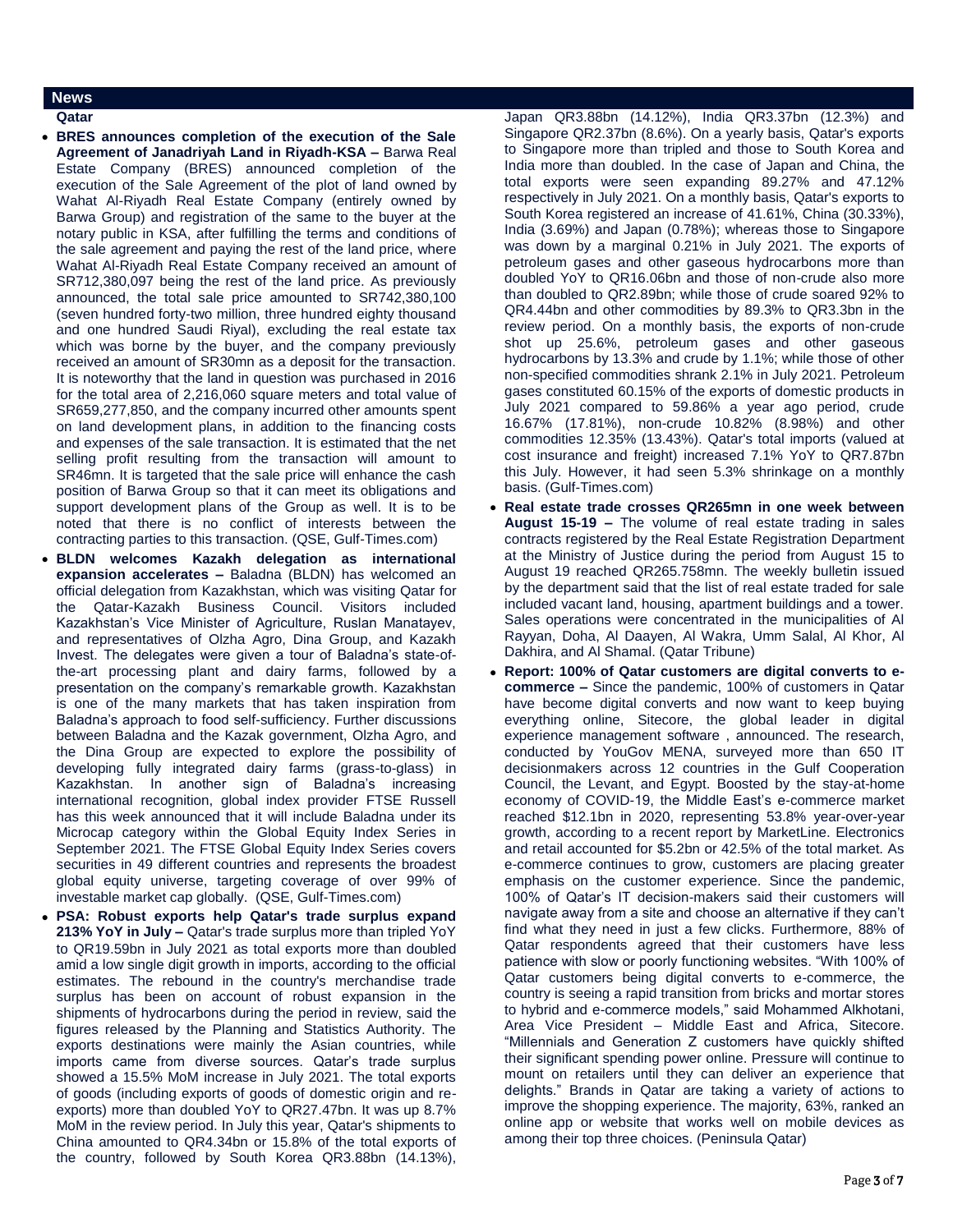### **News**

- **Qatar**
- **BRES announces completion of the execution of the Sale Agreement of Janadriyah Land in Riyadh-KSA –** Barwa Real Estate Company (BRES) announced completion of the execution of the Sale Agreement of the plot of land owned by Wahat Al-Riyadh Real Estate Company (entirely owned by Barwa Group) and registration of the same to the buyer at the notary public in KSA, after fulfilling the terms and conditions of the sale agreement and paying the rest of the land price, where Wahat Al-Riyadh Real Estate Company received an amount of SR712,380,097 being the rest of the land price. As previously announced, the total sale price amounted to SR742,380,100 (seven hundred forty-two million, three hundred eighty thousand and one hundred Saudi Riyal), excluding the real estate tax which was borne by the buyer, and the company previously received an amount of SR30mn as a deposit for the transaction. It is noteworthy that the land in question was purchased in 2016 for the total area of 2,216,060 square meters and total value of SR659,277,850, and the company incurred other amounts spent on land development plans, in addition to the financing costs and expenses of the sale transaction. It is estimated that the net selling profit resulting from the transaction will amount to SR46mn. It is targeted that the sale price will enhance the cash position of Barwa Group so that it can meet its obligations and support development plans of the Group as well. It is to be noted that there is no conflict of interests between the contracting parties to this transaction. (QSE, Gulf-Times.com)
- **BLDN welcomes Kazakh delegation as international expansion accelerates –** Baladna (BLDN) has welcomed an official delegation from Kazakhstan, which was visiting Qatar for the Qatar-Kazakh Business Council. Visitors included Kazakhstan's Vice Minister of Agriculture, Ruslan Manatayev, and representatives of Olzha Agro, Dina Group, and Kazakh Invest. The delegates were given a tour of Baladna's state-ofthe-art processing plant and dairy farms, followed by a presentation on the company's remarkable growth. Kazakhstan is one of the many markets that has taken inspiration from Baladna's approach to food self-sufficiency. Further discussions between Baladna and the Kazak government, Olzha Agro, and the Dina Group are expected to explore the possibility of developing fully integrated dairy farms (grass-to-glass) in Kazakhstan. In another sign of Baladna's increasing international recognition, global index provider FTSE Russell has this week announced that it will include Baladna under its Microcap category within the Global Equity Index Series in September 2021. The FTSE Global Equity Index Series covers securities in 49 different countries and represents the broadest global equity universe, targeting coverage of over 99% of investable market cap globally. (QSE, Gulf-Times.com)
- **PSA: Robust exports help Qatar's trade surplus expand 213% YoY in July –** Qatar's trade surplus more than tripled YoY to QR19.59bn in July 2021 as total exports more than doubled amid a low single digit growth in imports, according to the official estimates. The rebound in the country's merchandise trade surplus has been on account of robust expansion in the shipments of hydrocarbons during the period in review, said the figures released by the Planning and Statistics Authority. The exports destinations were mainly the Asian countries, while imports came from diverse sources. Qatar's trade surplus showed a 15.5% MoM increase in July 2021. The total exports of goods (including exports of goods of domestic origin and reexports) more than doubled YoY to QR27.47bn. It was up 8.7% MoM in the review period. In July this year, Qatar's shipments to China amounted to QR4.34bn or 15.8% of the total exports of the country, followed by South Korea QR3.88bn (14.13%),

Japan QR3.88bn (14.12%), India QR3.37bn (12.3%) and Singapore QR2.37bn (8.6%). On a yearly basis, Qatar's exports to Singapore more than tripled and those to South Korea and India more than doubled. In the case of Japan and China, the total exports were seen expanding 89.27% and 47.12% respectively in July 2021. On a monthly basis, Qatar's exports to South Korea registered an increase of 41.61%, China (30.33%), India (3.69%) and Japan (0.78%); whereas those to Singapore was down by a marginal 0.21% in July 2021. The exports of petroleum gases and other gaseous hydrocarbons more than doubled YoY to QR16.06bn and those of non-crude also more than doubled to QR2.89bn; while those of crude soared 92% to QR4.44bn and other commodities by 89.3% to QR3.3bn in the review period. On a monthly basis, the exports of non-crude shot up 25.6%, petroleum gases and other gaseous hydrocarbons by 13.3% and crude by 1.1%; while those of other non-specified commodities shrank 2.1% in July 2021. Petroleum gases constituted 60.15% of the exports of domestic products in July 2021 compared to 59.86% a year ago period, crude 16.67% (17.81%), non-crude 10.82% (8.98%) and other commodities 12.35% (13.43%). Qatar's total imports (valued at cost insurance and freight) increased 7.1% YoY to QR7.87bn this July. However, it had seen 5.3% shrinkage on a monthly basis. (Gulf-Times.com)

- **Real estate trade crosses QR265mn in one week between August 15-19 –** The volume of real estate trading in sales contracts registered by the Real Estate Registration Department at the Ministry of Justice during the period from August 15 to August 19 reached QR265.758mn. The weekly bulletin issued by the department said that the list of real estate traded for sale included vacant land, housing, apartment buildings and a tower. Sales operations were concentrated in the municipalities of Al Rayyan, Doha, Al Daayen, Al Wakra, Umm Salal, Al Khor, Al Dakhira, and Al Shamal. (Qatar Tribune)
- **Report: 100% of Qatar customers are digital converts to ecommerce –** Since the pandemic, 100% of customers in Qatar have become digital converts and now want to keep buying everything online, Sitecore, the global leader in digital experience management software , announced. The research, conducted by YouGov MENA, surveyed more than 650 IT decisionmakers across 12 countries in the Gulf Cooperation Council, the Levant, and Egypt. Boosted by the stay-at-home economy of COVID-19, the Middle East's e-commerce market reached \$12.1bn in 2020, representing 53.8% year-over-year growth, according to a recent report by MarketLine. Electronics and retail accounted for \$5.2bn or 42.5% of the total market. As e-commerce continues to grow, customers are placing greater emphasis on the customer experience. Since the pandemic, 100% of Qatar's IT decision-makers said their customers will navigate away from a site and choose an alternative if they can't find what they need in just a few clicks. Furthermore, 88% of Qatar respondents agreed that their customers have less patience with slow or poorly functioning websites. "With 100% of Qatar customers being digital converts to e-commerce, the country is seeing a rapid transition from bricks and mortar stores to hybrid and e-commerce models," said Mohammed Alkhotani, Area Vice President – Middle East and Africa, Sitecore. "Millennials and Generation Z customers have quickly shifted their significant spending power online. Pressure will continue to mount on retailers until they can deliver an experience that delights." Brands in Qatar are taking a variety of actions to improve the shopping experience. The majority, 63%, ranked an online app or website that works well on mobile devices as among their top three choices. (Peninsula Qatar)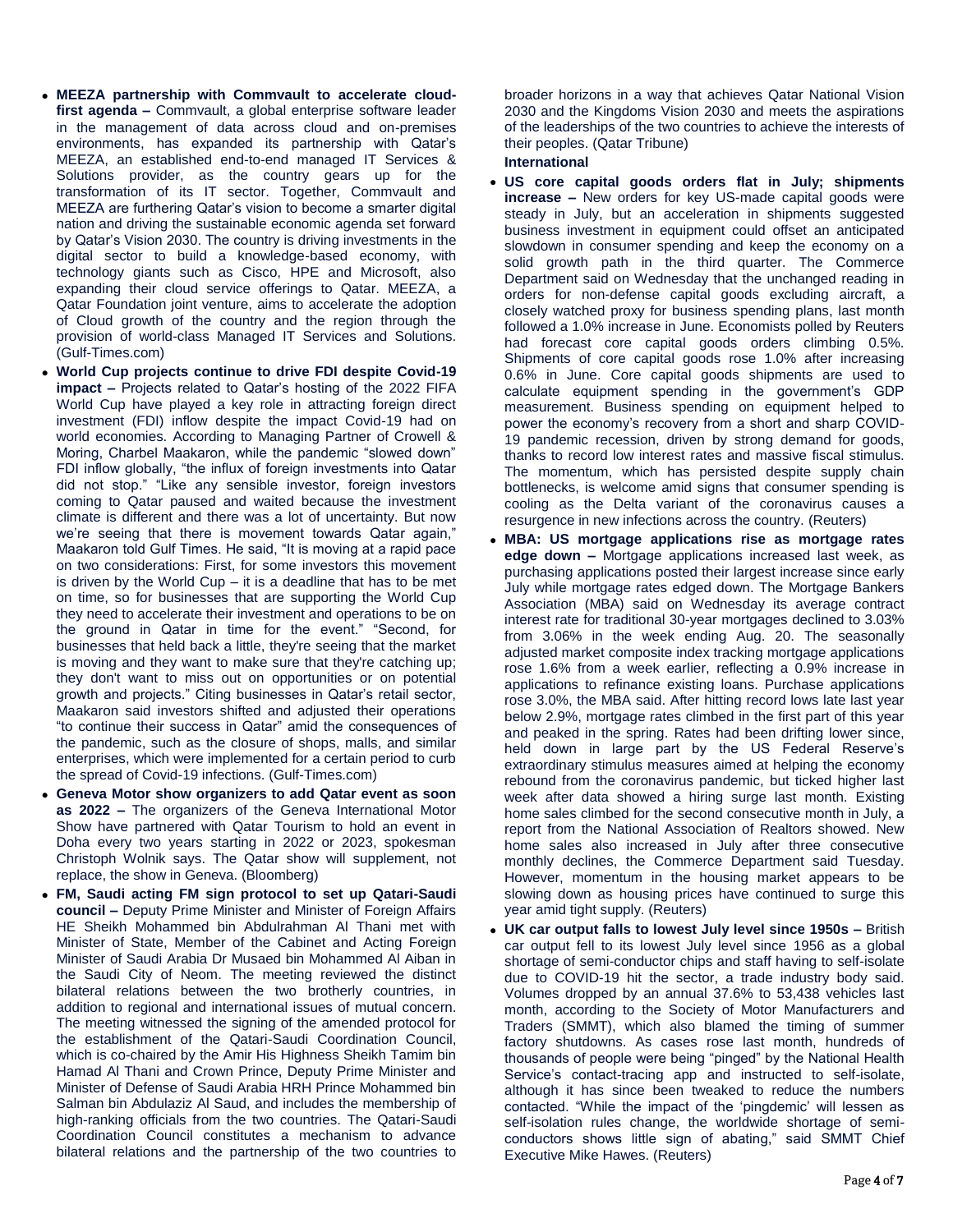- **MEEZA partnership with Commvault to accelerate cloudfirst agenda –** Commvault, a global enterprise software leader in the management of data across cloud and on-premises environments, has expanded its partnership with Qatar's MEEZA, an established end-to-end managed IT Services & Solutions provider, as the country gears up for the transformation of its IT sector. Together, Commvault and MEEZA are furthering Qatar's vision to become a smarter digital nation and driving the sustainable economic agenda set forward by Qatar's Vision 2030. The country is driving investments in the digital sector to build a knowledge-based economy, with technology giants such as Cisco, HPE and Microsoft, also expanding their cloud service offerings to Qatar. MEEZA, a Qatar Foundation joint venture, aims to accelerate the adoption of Cloud growth of the country and the region through the provision of world-class Managed IT Services and Solutions. (Gulf-Times.com)
- **World Cup projects continue to drive FDI despite Covid-19 impact –** Projects related to Qatar's hosting of the 2022 FIFA World Cup have played a key role in attracting foreign direct investment (FDI) inflow despite the impact Covid-19 had on world economies. According to Managing Partner of Crowell & Moring, Charbel Maakaron, while the pandemic "slowed down" FDI inflow globally, "the influx of foreign investments into Qatar did not stop." "Like any sensible investor, foreign investors coming to Qatar paused and waited because the investment climate is different and there was a lot of uncertainty. But now we're seeing that there is movement towards Qatar again," Maakaron told Gulf Times. He said, "It is moving at a rapid pace on two considerations: First, for some investors this movement is driven by the World Cup  $-$  it is a deadline that has to be met on time, so for businesses that are supporting the World Cup they need to accelerate their investment and operations to be on the ground in Qatar in time for the event." "Second, for businesses that held back a little, they're seeing that the market is moving and they want to make sure that they're catching up; they don't want to miss out on opportunities or on potential growth and projects." Citing businesses in Qatar's retail sector, Maakaron said investors shifted and adjusted their operations "to continue their success in Qatar" amid the consequences of the pandemic, such as the closure of shops, malls, and similar enterprises, which were implemented for a certain period to curb the spread of Covid-19 infections. (Gulf-Times.com)
- **Geneva Motor show organizers to add Qatar event as soon as 2022 –** The organizers of the Geneva International Motor Show have partnered with Qatar Tourism to hold an event in Doha every two years starting in 2022 or 2023, spokesman Christoph Wolnik says. The Qatar show will supplement, not replace, the show in Geneva. (Bloomberg)
- **FM, Saudi acting FM sign protocol to set up Qatari-Saudi council –** Deputy Prime Minister and Minister of Foreign Affairs HE Sheikh Mohammed bin Abdulrahman Al Thani met with Minister of State, Member of the Cabinet and Acting Foreign Minister of Saudi Arabia Dr Musaed bin Mohammed Al Aiban in the Saudi City of Neom. The meeting reviewed the distinct bilateral relations between the two brotherly countries, in addition to regional and international issues of mutual concern. The meeting witnessed the signing of the amended protocol for the establishment of the Qatari-Saudi Coordination Council, which is co-chaired by the Amir His Highness Sheikh Tamim bin Hamad Al Thani and Crown Prince, Deputy Prime Minister and Minister of Defense of Saudi Arabia HRH Prince Mohammed bin Salman bin Abdulaziz Al Saud, and includes the membership of high-ranking officials from the two countries. The Qatari-Saudi Coordination Council constitutes a mechanism to advance bilateral relations and the partnership of the two countries to

broader horizons in a way that achieves Qatar National Vision 2030 and the Kingdoms Vision 2030 and meets the aspirations of the leaderships of the two countries to achieve the interests of their peoples. (Qatar Tribune)

**International**

- **US core capital goods orders flat in July; shipments increase –** New orders for key US-made capital goods were steady in July, but an acceleration in shipments suggested business investment in equipment could offset an anticipated slowdown in consumer spending and keep the economy on a solid growth path in the third quarter. The Commerce Department said on Wednesday that the unchanged reading in orders for non-defense capital goods excluding aircraft, a closely watched proxy for business spending plans, last month followed a 1.0% increase in June. Economists polled by Reuters had forecast core capital goods orders climbing 0.5%. Shipments of core capital goods rose 1.0% after increasing 0.6% in June. Core capital goods shipments are used to calculate equipment spending in the government's GDP measurement. Business spending on equipment helped to power the economy's recovery from a short and sharp COVID-19 pandemic recession, driven by strong demand for goods, thanks to record low interest rates and massive fiscal stimulus. The momentum, which has persisted despite supply chain bottlenecks, is welcome amid signs that consumer spending is cooling as the Delta variant of the coronavirus causes a resurgence in new infections across the country. (Reuters)
- **MBA: US mortgage applications rise as mortgage rates edge down –** Mortgage applications increased last week, as purchasing applications posted their largest increase since early July while mortgage rates edged down. The Mortgage Bankers Association (MBA) said on Wednesday its average contract interest rate for traditional 30-year mortgages declined to 3.03% from 3.06% in the week ending Aug. 20. The seasonally adjusted market composite index tracking mortgage applications rose 1.6% from a week earlier, reflecting a 0.9% increase in applications to refinance existing loans. Purchase applications rose 3.0%, the MBA said. After hitting record lows late last year below 2.9%, mortgage rates climbed in the first part of this year and peaked in the spring. Rates had been drifting lower since, held down in large part by the US Federal Reserve's extraordinary stimulus measures aimed at helping the economy rebound from the coronavirus pandemic, but ticked higher last week after data showed a hiring surge last month. Existing home sales climbed for the second consecutive month in July, a report from the National Association of Realtors showed. New home sales also increased in July after three consecutive monthly declines, the Commerce Department said Tuesday. However, momentum in the housing market appears to be slowing down as housing prices have continued to surge this year amid tight supply. (Reuters)
- **UK car output falls to lowest July level since 1950s –** British car output fell to its lowest July level since 1956 as a global shortage of semi-conductor chips and staff having to self-isolate due to COVID-19 hit the sector, a trade industry body said. Volumes dropped by an annual 37.6% to 53,438 vehicles last month, according to the Society of Motor Manufacturers and Traders (SMMT), which also blamed the timing of summer factory shutdowns. As cases rose last month, hundreds of thousands of people were being "pinged" by the National Health Service's contact-tracing app and instructed to self-isolate, although it has since been tweaked to reduce the numbers contacted. "While the impact of the 'pingdemic' will lessen as self-isolation rules change, the worldwide shortage of semiconductors shows little sign of abating," said SMMT Chief Executive Mike Hawes. (Reuters)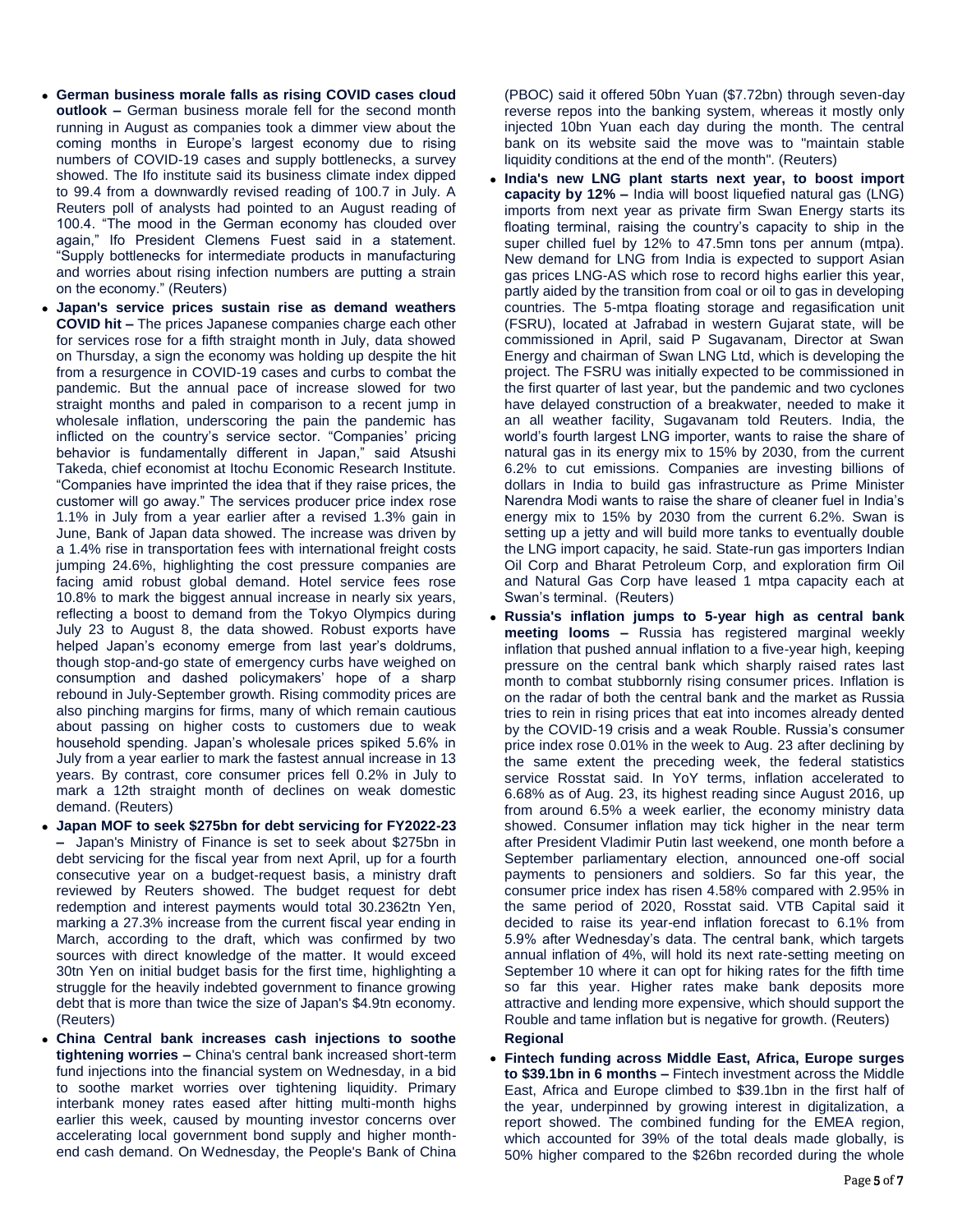- **German business morale falls as rising COVID cases cloud outlook –** German business morale fell for the second month running in August as companies took a dimmer view about the coming months in Europe's largest economy due to rising numbers of COVID-19 cases and supply bottlenecks, a survey showed. The Ifo institute said its business climate index dipped to 99.4 from a downwardly revised reading of 100.7 in July. A Reuters poll of analysts had pointed to an August reading of 100.4. "The mood in the German economy has clouded over again," Ifo President Clemens Fuest said in a statement. "Supply bottlenecks for intermediate products in manufacturing and worries about rising infection numbers are putting a strain on the economy." (Reuters)
- **Japan's service prices sustain rise as demand weathers COVID hit –** The prices Japanese companies charge each other for services rose for a fifth straight month in July, data showed on Thursday, a sign the economy was holding up despite the hit from a resurgence in COVID-19 cases and curbs to combat the pandemic. But the annual pace of increase slowed for two straight months and paled in comparison to a recent jump in wholesale inflation, underscoring the pain the pandemic has inflicted on the country's service sector. "Companies' pricing behavior is fundamentally different in Japan," said Atsushi Takeda, chief economist at Itochu Economic Research Institute. "Companies have imprinted the idea that if they raise prices, the customer will go away." The services producer price index rose 1.1% in July from a year earlier after a revised 1.3% gain in June, Bank of Japan data showed. The increase was driven by a 1.4% rise in transportation fees with international freight costs jumping 24.6%, highlighting the cost pressure companies are facing amid robust global demand. Hotel service fees rose 10.8% to mark the biggest annual increase in nearly six years, reflecting a boost to demand from the Tokyo Olympics during July 23 to August 8, the data showed. Robust exports have helped Japan's economy emerge from last year's doldrums, though stop-and-go state of emergency curbs have weighed on consumption and dashed policymakers' hope of a sharp rebound in July-September growth. Rising commodity prices are also pinching margins for firms, many of which remain cautious about passing on higher costs to customers due to weak household spending. Japan's wholesale prices spiked 5.6% in July from a year earlier to mark the fastest annual increase in 13 years. By contrast, core consumer prices fell 0.2% in July to mark a 12th straight month of declines on weak domestic demand. (Reuters)
- **Japan MOF to seek \$275bn for debt servicing for FY2022-23 –** Japan's Ministry of Finance is set to seek about \$275bn in debt servicing for the fiscal year from next April, up for a fourth consecutive year on a budget-request basis, a ministry draft reviewed by Reuters showed. The budget request for debt redemption and interest payments would total 30.2362tn Yen, marking a 27.3% increase from the current fiscal year ending in March, according to the draft, which was confirmed by two sources with direct knowledge of the matter. It would exceed 30tn Yen on initial budget basis for the first time, highlighting a struggle for the heavily indebted government to finance growing debt that is more than twice the size of Japan's \$4.9tn economy. (Reuters)
- **China Central bank increases cash injections to soothe tightening worries –** China's central bank increased short-term fund injections into the financial system on Wednesday, in a bid to soothe market worries over tightening liquidity. Primary interbank money rates eased after hitting multi-month highs earlier this week, caused by mounting investor concerns over accelerating local government bond supply and higher monthend cash demand. On Wednesday, the People's Bank of China

(PBOC) said it offered 50bn Yuan (\$7.72bn) through seven-day reverse repos into the banking system, whereas it mostly only injected 10bn Yuan each day during the month. The central bank on its website said the move was to "maintain stable liquidity conditions at the end of the month". (Reuters)

- **India's new LNG plant starts next year, to boost import capacity by 12% –** India will boost liquefied natural gas (LNG) imports from next year as private firm Swan Energy starts its floating terminal, raising the country's capacity to ship in the super chilled fuel by 12% to 47.5mn tons per annum (mtpa). New demand for LNG from India is expected to support Asian gas prices LNG-AS which rose to record highs earlier this year, partly aided by the transition from coal or oil to gas in developing countries. The 5-mtpa floating storage and regasification unit (FSRU), located at Jafrabad in western Gujarat state, will be commissioned in April, said P Sugavanam, Director at Swan Energy and chairman of Swan LNG Ltd, which is developing the project. The FSRU was initially expected to be commissioned in the first quarter of last year, but the pandemic and two cyclones have delayed construction of a breakwater, needed to make it an all weather facility, Sugavanam told Reuters. India, the world's fourth largest LNG importer, wants to raise the share of natural gas in its energy mix to 15% by 2030, from the current 6.2% to cut emissions. Companies are investing billions of dollars in India to build gas infrastructure as Prime Minister Narendra Modi wants to raise the share of cleaner fuel in India's energy mix to 15% by 2030 from the current 6.2%. Swan is setting up a jetty and will build more tanks to eventually double the LNG import capacity, he said. State-run gas importers Indian Oil Corp and Bharat Petroleum Corp, and exploration firm Oil and Natural Gas Corp have leased 1 mtpa capacity each at Swan's terminal. (Reuters)
- **Russia's inflation jumps to 5-year high as central bank meeting looms –** Russia has registered marginal weekly inflation that pushed annual inflation to a five-year high, keeping pressure on the central bank which sharply raised rates last month to combat stubbornly rising consumer prices. Inflation is on the radar of both the central bank and the market as Russia tries to rein in rising prices that eat into incomes already dented by the COVID-19 crisis and a weak Rouble. Russia's consumer price index rose 0.01% in the week to Aug. 23 after declining by the same extent the preceding week, the federal statistics service Rosstat said. In YoY terms, inflation accelerated to 6.68% as of Aug. 23, its highest reading since August 2016, up from around 6.5% a week earlier, the economy ministry data showed. Consumer inflation may tick higher in the near term after President Vladimir Putin last weekend, one month before a September parliamentary election, announced one-off social payments to pensioners and soldiers. So far this year, the consumer price index has risen 4.58% compared with 2.95% in the same period of 2020, Rosstat said. VTB Capital said it decided to raise its year-end inflation forecast to 6.1% from 5.9% after Wednesday's data. The central bank, which targets annual inflation of 4%, will hold its next rate-setting meeting on September 10 where it can opt for hiking rates for the fifth time so far this year. Higher rates make bank deposits more attractive and lending more expensive, which should support the Rouble and tame inflation but is negative for growth. (Reuters) **Regional**
- **Fintech funding across Middle East, Africa, Europe surges to \$39.1bn in 6 months –** Fintech investment across the Middle East, Africa and Europe climbed to \$39.1bn in the first half of the year, underpinned by growing interest in digitalization, a report showed. The combined funding for the EMEA region, which accounted for 39% of the total deals made globally, is 50% higher compared to the \$26bn recorded during the whole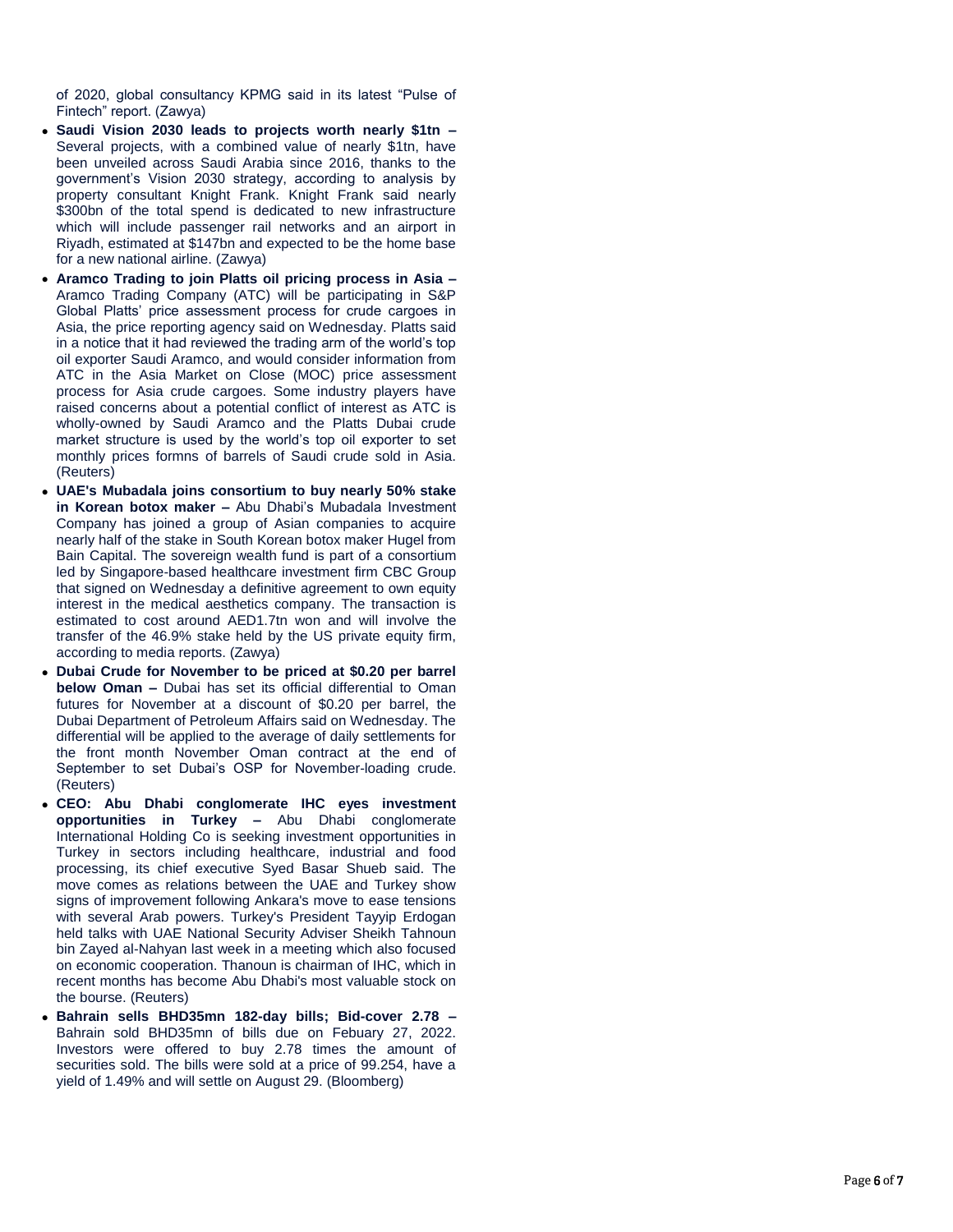of 2020, global consultancy KPMG said in its latest "Pulse of Fintech" report. (Zawya)

- **Saudi Vision 2030 leads to projects worth nearly \$1tn –** Several projects, with a combined value of nearly \$1tn, have been unveiled across Saudi Arabia since 2016, thanks to the government's Vision 2030 strategy, according to analysis by property consultant Knight Frank. Knight Frank said nearly \$300bn of the total spend is dedicated to new infrastructure which will include passenger rail networks and an airport in Riyadh, estimated at \$147bn and expected to be the home base for a new national airline. (Zawya)
- **Aramco Trading to join Platts oil pricing process in Asia –** Aramco Trading Company (ATC) will be participating in S&P Global Platts' price assessment process for crude cargoes in Asia, the price reporting agency said on Wednesday. Platts said in a notice that it had reviewed the trading arm of the world's top oil exporter Saudi Aramco, and would consider information from ATC in the Asia Market on Close (MOC) price assessment process for Asia crude cargoes. Some industry players have raised concerns about a potential conflict of interest as ATC is wholly -owned by Saudi Aramco and the Platts Dubai crude market structure is used by the world's top oil exporter to set monthly prices formns of barrels of Saudi crude sold in Asia. (Reuters)
- **UAE's Mubadala joins consortium to buy nearly 50% stake in Korean botox maker –** Abu Dhabi's Mubadala Investment Company has joined a group of Asian companies to acquire nearly half of the stake in South Korean botox maker Hugel from Bain Capital. The sovereign wealth fund is part of a consortium led by Singapore -based healthcare investment firm CBC Group that signed on Wednesday a definitive agreement to own equity interest in the medical aesthetics company. The transaction is estimated to cost around AED1.7tn won and will involve the transfer of the 46.9% stake held by the US private equity firm, according to media reports. (Zawya)
- **Dubai Crude for November to be priced at \$0.20 per barrel below Oman –** Dubai has set its official differential to Oman futures for November at a discount of \$0.20 per barrel, the Dubai Department of Petroleum Affairs said on Wednesday. The differential will be applied to the average of daily settlements for the front month November Oman contract at the end of September to set Dubai's OSP for November -loading crude. (Reuters)
- **CEO: Abu Dhabi conglomerate IHC eyes investment opportunities in Turkey –** Abu Dhabi conglomerate International Holding Co is seeking investment opportunities in Turkey in sectors including healthcare, industrial and food processing, its chief executive Syed Basar Shueb said. The move comes as relations between the UAE and Turkey show signs of improvement following Ankara's move to ease tensions with several Arab powers. Turkey's President Tayyip Erdogan held talks with UAE National Security Adviser Sheikh Tahnoun bin Zayed al -Nahyan last week in a meeting which also focused on economic cooperation. Thanoun is chairman of IHC, which in recent months has become Abu Dhabi's most valuable stock on the bourse. (Reuters)
- **Bahrain sells BHD35mn 182-day bills; Bid-cover 2.78 -**Bahrain sold BHD35mn of bills due on Febuary 27, 2022. Investors were offered to buy 2.78 times the amount of securities sold. The bills were sold at a price of 99.254, have a yield of 1.49% and will settle on August 29. (Bloomberg)